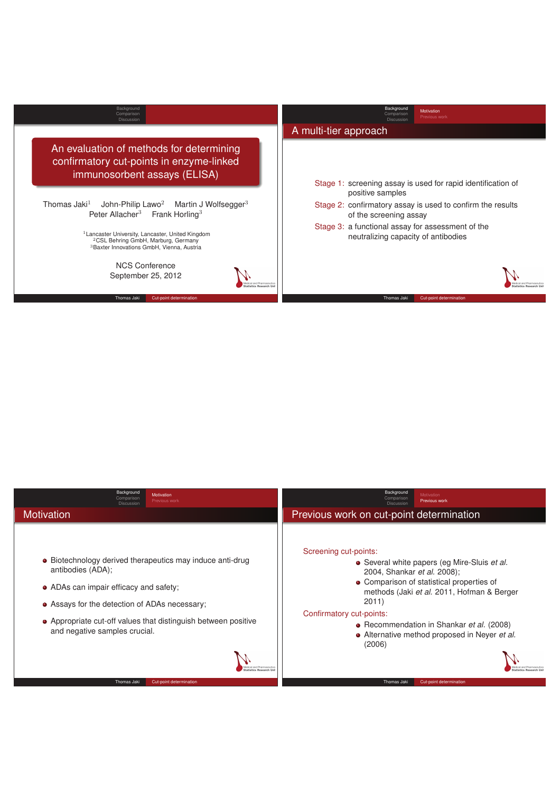

| Background<br>Motivation<br>Comparison<br>Previous work<br><b>Discussion</b>                                                                                                                                                                                                                                           | Background<br><b>Motivation</b><br>Comparison<br>Previous work<br>Discussion                                                                                                                                                                                                                                                                                                           |
|------------------------------------------------------------------------------------------------------------------------------------------------------------------------------------------------------------------------------------------------------------------------------------------------------------------------|----------------------------------------------------------------------------------------------------------------------------------------------------------------------------------------------------------------------------------------------------------------------------------------------------------------------------------------------------------------------------------------|
| <b>Motivation</b>                                                                                                                                                                                                                                                                                                      | Previous work on cut-point determination                                                                                                                                                                                                                                                                                                                                               |
| • Biotechnology derived therapeutics may induce anti-drug<br>antibodies (ADA);<br>• ADAs can impair efficacy and safety;<br>• Assays for the detection of ADAs necessary;<br>• Appropriate cut-off values that distinguish between positive<br>and negative samples crucial.<br>Thomas Jaki<br>Cut-point determination | Screening cut-points:<br>• Several white papers (eg Mire-Sluis et al.<br>2004, Shankar et al. 2008);<br>• Comparison of statistical properties of<br>methods (Jaki et al. 2011, Hofman & Berger<br>2011)<br>Confirmatory cut-points:<br>• Recommendation in Shankar et al. (2008)<br>• Alternative method proposed in Neyer et al.<br>(2006)<br>Thomas Jaki<br>Cut-point determination |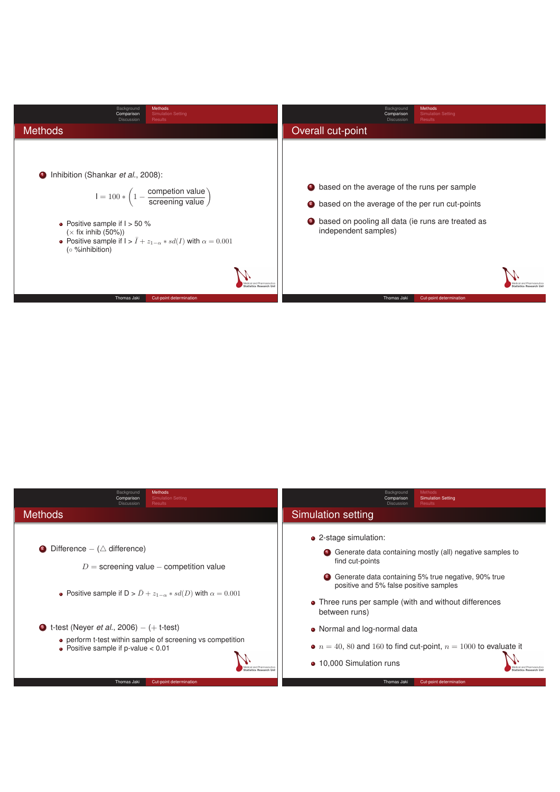

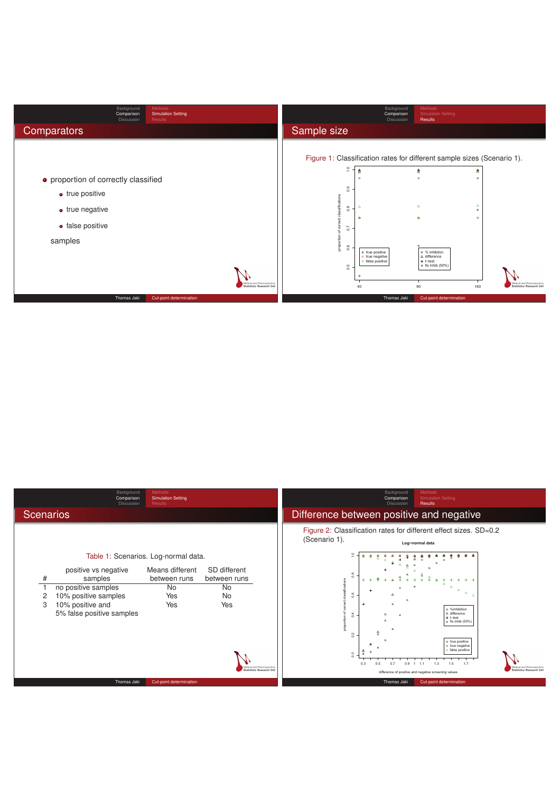